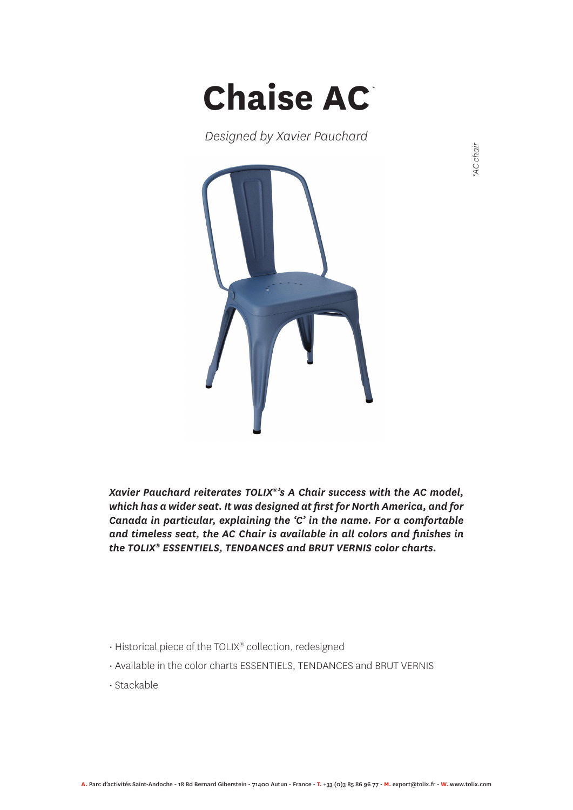

*Designed by Xavier Pauchard*



*\*AC chair*

*Xavier Pauchard reiterates TOLIX®'s A Chair success with the AC model, which has a wider seat. It was designed at first for North America, and for Canada in particular, explaining the 'C' in the name. For a comfortable and timeless seat, the AC Chair is available in all colors and finishes in the TOLIX® ESSENTIELS, TENDANCES and BRUT VERNIS color charts.*

- Historical piece of the TOLIX® collection, redesigned
- Available in the color charts ESSENTIELS, TENDANCES and BRUT VERNIS
- Stackable